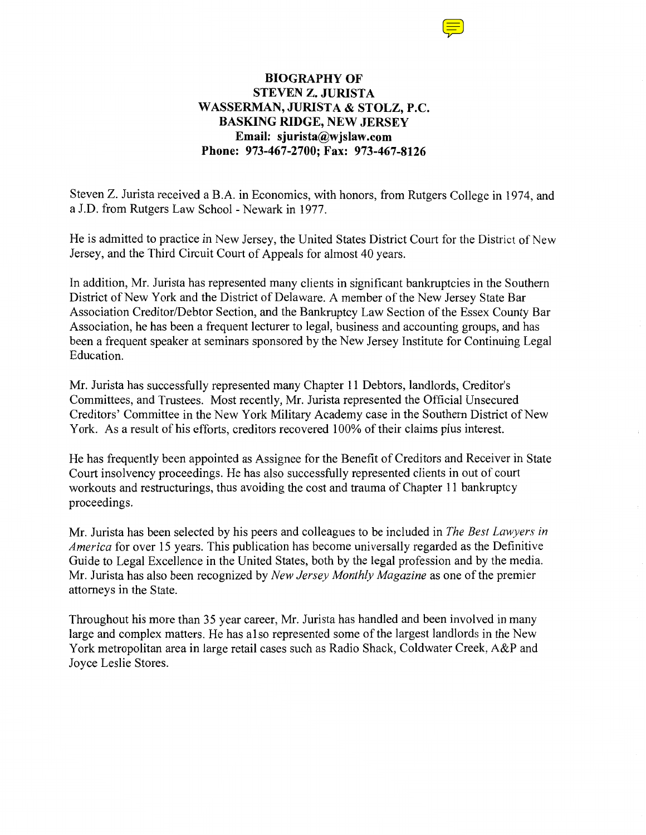## **BIOGRAPHY OF STEVEN Z. JURISTA WASSERMAN, JURISTA & STOLZ, P.C. BASKING RIDGE, NEW JERSEY Email: sjurista@wjslaw.com Phone: 973-467-2700; Fax: 973-467-8126**

Steven Z. Jurista received a B.A. in Economics, with honors, from Rutgers College in 1974, and a J.D. from Rutgers Law School- Newark in 1977.

He is admitted to practice in New Jersey, the United States District Court for the District of New Jersey, and the Third Circuit Court of Appeals for almost 40 years.

In addition, Mr. Jurista has represented many clients in significant bankruptcies in the Southern District of New York and the District of Delaware. A member of the New Jersey State Bar Association Creditor/Debtor Section, and the Bankruptcy Law Section of the Essex County Bar Association, he has been a frequent lecturer to legal, business and accounting groups, and has been a frequent speaker at seminars sponsored by the New Jersey Institute for Continuing Legal Education.

Mr. Jurista has successfully represented many Chapter 11 Debtors, landlords, Creditor's Committees, and Trustees. Most recently, Mr. Jurista represented the Official Unsecured Creditors' Committee in the New York Military Academy case in the Southern District of New York. As a result of his efforts, creditors recovered 100% of their claims plus interest.

He has frequently been appointed as Assignee for the Benefit of Creditors and Receiver in State Court insolvency proceedings. He has also successfully represented clients in out of court workouts and restructurings, thus avoiding the cost and trauma of Chapter 11 bankruptcy proceedings.

Mr. Jurista has been selected by his peers and colleagues to be included in *The Best Lawyers in America* for over 15 years. This publication has become universally regarded as the Definitive Guide to Legal Excellence in the United States, both by the legal profession and by the media. Mr. Jurista has also been recognized by *New Jersey Monthly Magazine* as one of the premier attorneys in the State.

Throughout his more than 35 year career, Mr. Jurista has handled and been involved in many large and complex matters. He has also represented some of the largest landlords in the New York metropolitan area in large retail cases such as Radio Shack, Coldwater Creek, A&P and Joyce Leslie Stores.